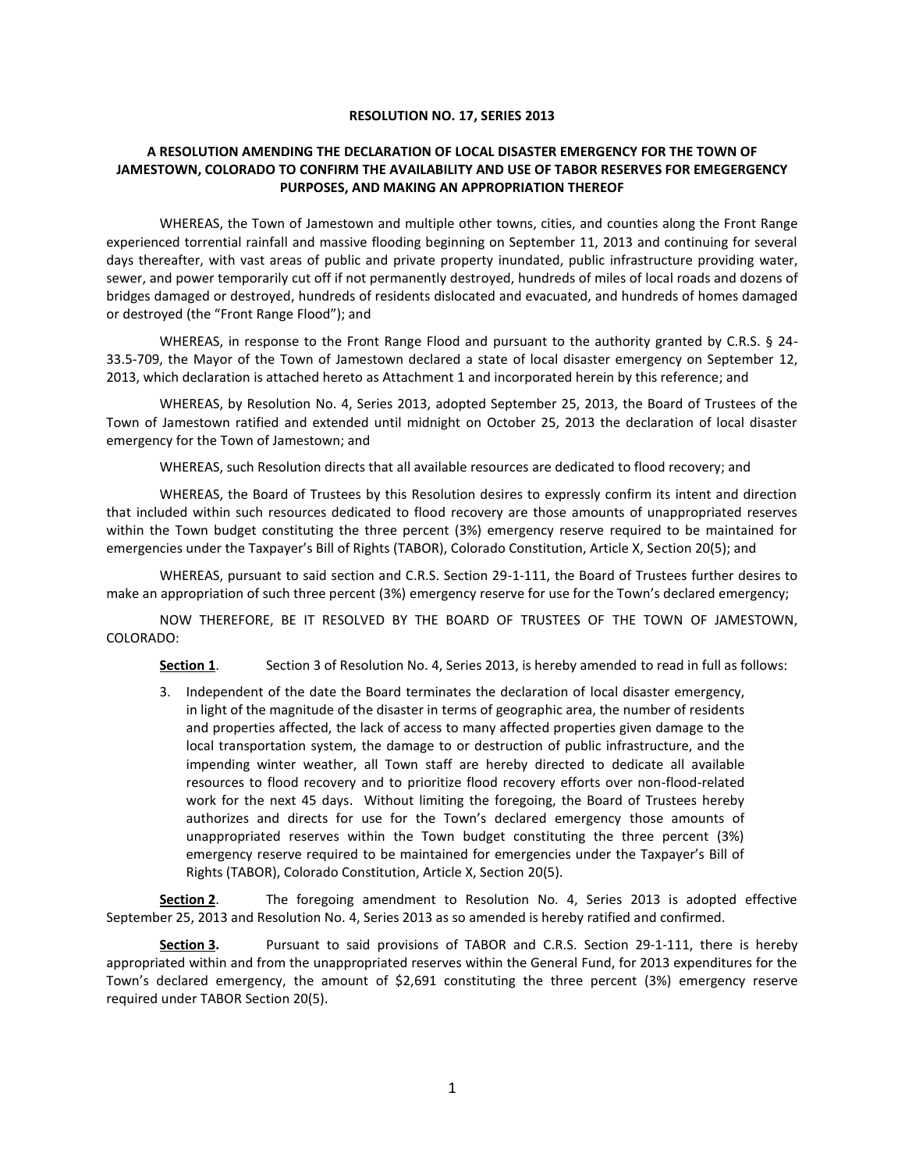## **RESOLUTION NO. 17, SERIES 2013**

## **A RESOLUTION AMENDING THE DECLARATION OF LOCAL DISASTER EMERGENCY FOR THE TOWN OF JAMESTOWN, COLORADO TO CONFIRM THE AVAILABILITY AND USE OF TABOR RESERVES FOR EMEGERGENCY PURPOSES, AND MAKING AN APPROPRIATION THEREOF**

WHEREAS, the Town of Jamestown and multiple other towns, cities, and counties along the Front Range experienced torrential rainfall and massive flooding beginning on September 11, 2013 and continuing for several days thereafter, with vast areas of public and private property inundated, public infrastructure providing water, sewer, and power temporarily cut off if not permanently destroyed, hundreds of miles of local roads and dozens of bridges damaged or destroyed, hundreds of residents dislocated and evacuated, and hundreds of homes damaged or destroyed (the "Front Range Flood"); and

WHEREAS, in response to the Front Range Flood and pursuant to the authority granted by C.R.S. § 24-33.5-709, the Mayor of the Town of Jamestown declared a state of local disaster emergency on September 12, 2013, which declaration is attached hereto as Attachment 1 and incorporated herein by this reference; and

WHEREAS, by Resolution No. 4, Series 2013, adopted September 25, 2013, the Board of Trustees of the Town of Jamestown ratified and extended until midnight on October 25, 2013 the declaration of local disaster emergency for the Town of Jamestown; and

WHEREAS, such Resolution directs that all available resources are dedicated to flood recovery; and

WHEREAS, the Board of Trustees by this Resolution desires to expressly confirm its intent and direction that included within such resources dedicated to flood recovery are those amounts of unappropriated reserves within the Town budget constituting the three percent (3%) emergency reserve required to be maintained for emergencies under the Taxpayer's Bill of Rights (TABOR), Colorado Constitution, Article X, Section 20(5); and

WHEREAS, pursuant to said section and C.R.S. Section 29-1-111, the Board of Trustees further desires to make an appropriation of such three percent (3%) emergency reserve for use for the Town's declared emergency;

NOW THEREFORE, BE IT RESOLVED BY THE BOARD OF TRUSTEES OF THE TOWN OF JAMESTOWN, COLORADO:

**Section 1**. Section 3 of Resolution No. 4, Series 2013, is hereby amended to read in full as follows:

3. Independent of the date the Board terminates the declaration of local disaster emergency, in light of the magnitude of the disaster in terms of geographic area, the number of residents and properties affected, the lack of access to many affected properties given damage to the local transportation system, the damage to or destruction of public infrastructure, and the impending winter weather, all Town staff are hereby directed to dedicate all available resources to flood recovery and to prioritize flood recovery efforts over non-flood-related work for the next 45 days. Without limiting the foregoing, the Board of Trustees hereby authorizes and directs for use for the Town's declared emergency those amounts of unappropriated reserves within the Town budget constituting the three percent (3%) emergency reserve required to be maintained for emergencies under the Taxpayer's Bill of Rights (TABOR), Colorado Constitution, Article X, Section 20(5).

**Section 2**. The foregoing amendment to Resolution No. 4, Series 2013 is adopted effective September 25, 2013 and Resolution No. 4, Series 2013 as so amended is hereby ratified and confirmed.

**Section 3.** Pursuant to said provisions of TABOR and C.R.S. Section 29-1-111, there is hereby appropriated within and from the unappropriated reserves within the General Fund, for 2013 expenditures for the Town's declared emergency, the amount of \$2,691 constituting the three percent (3%) emergency reserve required under TABOR Section 20(5).